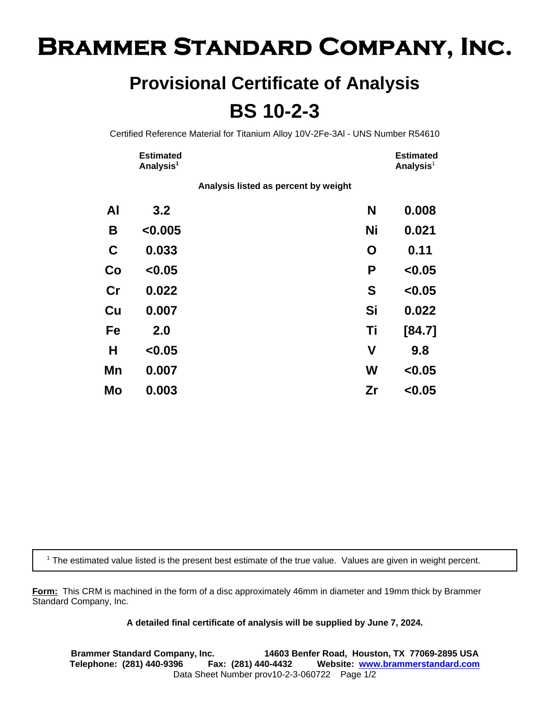## **Brammer Standard Company, Inc.**

## **Provisional Certificate of Analysis BS 10-2-3**

Certified Reference Material for Titanium Alloy 10V-2Fe-3Al - UNS Number R54610

| <b>Estimated</b>      | <b>Estimated</b> |
|-----------------------|------------------|
| Analysis <sup>1</sup> | Analysis $^1$    |

**Analysis listed as percent by weight**

| AI          | 3.2     | N            | 0.008  |
|-------------|---------|--------------|--------|
| B           | < 0.005 | <b>Ni</b>    | 0.021  |
| $\mathbf C$ | 0.033   | O            | 0.11   |
| Co          | < 0.05  | P            | < 0.05 |
| cr          | 0.022   | S            | < 0.05 |
| Cu          | 0.007   | Si           | 0.022  |
| Fe          | 2.0     | Τi           | [84.7] |
| Н           | < 0.05  | $\mathsf{V}$ | 9.8    |
| Mn          | 0.007   | W            | < 0.05 |
| Mo          | 0.003   | Zr           | < 0.05 |

<sup>1</sup> The estimated value listed is the present best estimate of the true value. Values are given in weight percent.

**Form:** This CRM is machined in the form of a disc approximately 46mm in diameter and 19mm thick by Brammer Standard Company, Inc.

**A detailed final certificate of analysis will be supplied by June 7, 2024.**

**Brammer Standard Company, Inc. 14603 Benfer Road, Houston, TX 77069-2895 USA Telephone: (281) 440-9396 Fax: (281) 440-4432 Website: www.brammerstandard.com** Data Sheet Number prov10-2-3-060722 Page 1/2